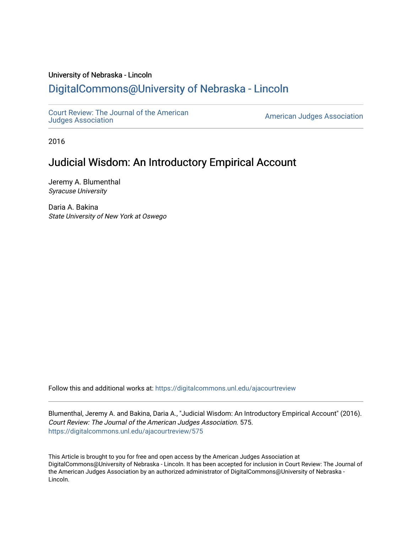## University of Nebraska - Lincoln [DigitalCommons@University of Nebraska - Lincoln](https://digitalcommons.unl.edu/)

[Court Review: The Journal of the American](https://digitalcommons.unl.edu/ajacourtreview)

[Judges Association](https://digitalcommons.unl.edu/ajacourtreview) [American Judges Association](https://digitalcommons.unl.edu/amjudgesassn) 

2016

## Judicial Wisdom: An Introductory Empirical Account

Jeremy A. Blumenthal Syracuse University

Daria A. Bakina State University of New York at Oswego

Follow this and additional works at: [https://digitalcommons.unl.edu/ajacourtreview](https://digitalcommons.unl.edu/ajacourtreview?utm_source=digitalcommons.unl.edu%2Fajacourtreview%2F575&utm_medium=PDF&utm_campaign=PDFCoverPages) 

Blumenthal, Jeremy A. and Bakina, Daria A., "Judicial Wisdom: An Introductory Empirical Account" (2016). Court Review: The Journal of the American Judges Association. 575. [https://digitalcommons.unl.edu/ajacourtreview/575](https://digitalcommons.unl.edu/ajacourtreview/575?utm_source=digitalcommons.unl.edu%2Fajacourtreview%2F575&utm_medium=PDF&utm_campaign=PDFCoverPages) 

This Article is brought to you for free and open access by the American Judges Association at DigitalCommons@University of Nebraska - Lincoln. It has been accepted for inclusion in Court Review: The Journal of the American Judges Association by an authorized administrator of DigitalCommons@University of Nebraska -Lincoln.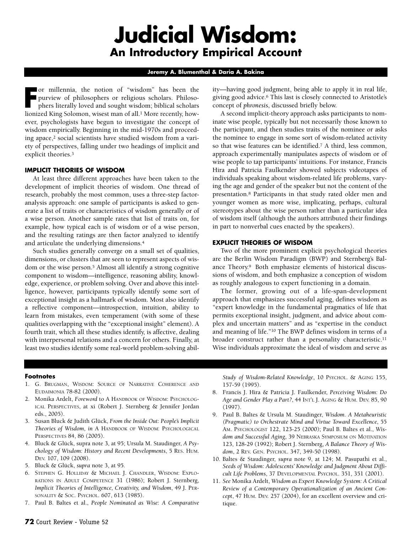# **Judicial Wisdom: An Introductory Empirical Account**

#### **Jeremy A. Blumenthal & Daria A. Bakina**

**Franchillennia**, the notion of "wisdom" has been the purview of philosophers or religious scholars. Philosophers literally loved and sought wisdom; biblical scholars lionized King Solomon, wisest man of all.<sup>1</sup> More recen or millennia, the notion of "wisdom" has been the purview of philosophers or religious scholars. Philosophers literally loved and sought wisdom; biblical scholars ever, psychologists have begun to investigate the concept of wisdom empirically. Beginning in the mid-1970s and proceeding apace,<sup>2</sup> social scientists have studied wisdom from a variety of perspectives, falling under two headings of implicit and explicit theories.3

#### **IMPLICIT THEORIES OF WISDOM**

At least three different approaches have been taken to the development of implicit theories of wisdom. One thread of research, probably the most common, uses a three-step factoranalysis approach: one sample of participants is asked to generate a list of traits or characteristics of wisdom generally or of a wise person. Another sample rates that list of traits on, for example, how typical each is of wisdom or of a wise person, and the resulting ratings are then factor analyzed to identify and articulate the underlying dimensions.4

Such studies generally converge on a small set of qualities, dimensions, or clusters that are seen to represent aspects of wisdom or the wise person.5 Almost all identify a strong cognitive component to wisdom—intelligence, reasoning ability, knowledge, experience, or problem solving. Over and above this intelligence, however, participants typically identify some sort of exceptional insight as a hallmark of wisdom. Most also identify a reflective component—introspection, intuition, ability to learn from mistakes, even temperament (with some of these qualities overlapping with the "exceptional insight" element). A fourth trait, which all these studies identify, is affective, dealing with interpersonal relations and a concern for others. Finally, at least two studies identify some real-world problem-solving ability—having good judgment, being able to apply it in real life, giving good advice.6 This last is closely connected to Aristotle's concept of *phronesis*, discussed briefly below.

A second implicit-theory approach asks participants to nominate wise people, typically but not necessarily those known to the participant, and then studies traits of the nominee or asks the nominee to engage in some sort of wisdom-related activity so that wise features can be identified.7 A third, less common, approach experimentally manipulates aspects of wisdom or of wise people to tap participants' intuitions. For instance, Francis Hira and Patricia Faulkender showed subjects videotapes of individuals speaking about wisdom-related life problems, varying the age and gender of the speaker but not the content of the presentation.8 Participants in that study rated older men and younger women as more wise, implicating, perhaps, cultural stereotypes about the wise person rather than a particular idea of wisdom itself (although the authors attributed their findings in part to nonverbal cues enacted by the speakers).

#### **EXPLICIT THEORIES OF WISDOM**

Two of the more prominent explicit psychological theories are the Berlin Wisdom Paradigm (BWP) and Sternberg's Balance Theory.9 Both emphasize elements of historical discussions of wisdom, and both emphasize a conception of wisdom as roughly analogous to expert functioning in a domain.

The former, growing out of a life-span-development approach that emphasizes successful aging, defines wisdom as "expert knowledge in the fundamental pragmatics of life that permits exceptional insight, judgment, and advice about complex and uncertain matters" and as "expertise in the conduct and meaning of life."10 The BWP defines wisdom in terms of a broader construct rather than a personality characteristic.<sup>11</sup> Wise individuals approximate the ideal of wisdom and serve as

#### **Footnotes**

- 1. G. BRUGMAN, WISDOM: SOURCE OF NARRATIVE COHERENCE AND EUDAIMONIA 78-82 (2000).
- 2. Monika Ardelt, *Foreword* to A HANDBOOK OF WISDOM: PSYCHOLOG-ICAL PERSPECTIVES, at xi (Robert J. Sternberg & Jennifer Jordan eds., 2005).
- 3. Susan Bluck & Judith Glück, *From the Inside Out: People's Implicit Theories of Wisdom*, *in* A HANDBOOK OF WISDOM: PSYCHOLOGICAL PERSPECTIVES 84, 86 (2005).
- 4. Bluck & Glück, supra note 3, at 95; Ursula M. Staudinger, *A Psychology of Wisdom: History and Recent Developments*, 5 RES. HUM. DEV. 107, 109 (2008).
- 5. Bluck & Glück, *supra* note 3, at 95.
- 6. STEPHEN G. HOLLIDAY & MICHAEL J. CHANDLER, WISDOM: EXPLO-RATIONS IN ADULT COMPETENCE 31 (1986); Robert J. Sternberg, *Implicit Theories of Intelligence, Creativity, and Wisdom*, 49 J. PER-SONALITY & SOC. PSYCHOL. 607, 613 (1985).
- 7. Paul B. Baltes et al., *People Nominated as Wise: A Comparative*

*Study of Wisdom-Related Knowledge*, 10 PSYCHOL. & AGING 155, 157-59 (1995).

- 8. Francis J. Hira & Patricia J. Faulkender, *Perceiving Wisdom: Do Age and Gender Play a Part?*, 44 INT'L J. AGING & HUM. DEV. 85, 90 (1997).
- 9. Paul B. Baltes & Ursula M. Staudinger, *Wisdom. A Metaheuristic (Pragmatic) to Orchestrate Mind and Virtue Toward Excellence*, 55 AM. PSYCHOLOGIST 122, 123-25 (2000); Paul B. Baltes et al., *Wisdom and Successful Aging*, 39 NEBRASKA SYMPOSIUM ON MOTIVATION 123, 128-29 (1992); Robert J. Sternberg, *A Balance Theory of Wisdom*, 2 REV. GEN. PSYCHOL. 347, 349-50 (1998).
- 10. Baltes & Staudinger, *supra* note 9, at 124; M. Pasupathi et al., *Seeds of Wisdom: Adolescents' Knowledge and Judgment About Difficult Life Problems*, 37 DEVELOPMENTAL PSYCHOL. 351, 351 (2001).
- 11. *See* Monika Ardelt, *Wisdom as Expert Knowledge System: A Critical Review of a Contemporary Operationalization of an Ancient Concept*, 47 HUM. DEV. 257 (2004), for an excellent overview and critique.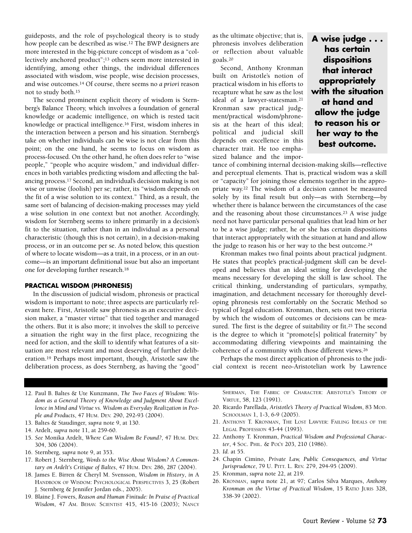guideposts, and the role of psychological theory is to study how people can be described as wise.12 The BWP designers are more interested in the big-picture concept of wisdom as a "collectively anchored product";13 others seem more interested in identifying, among other things, the individual differences associated with wisdom, wise people, wise decision processes, and wise outcomes.14 Of course, there seems no *a priori* reason not to study both.15

The second prominent explicit theory of wisdom is Sternberg's Balance Theory, which involves a foundation of general knowledge or academic intelligence, on which is rested tacit knowledge or practical intelligence.16 First, wisdom inheres in the interaction between a person and his situation. Sternberg's take on whether individuals can be wise is not clear from this point; on the one hand, he seems to focus on wisdom as process-focused. On the other hand, he often does refer to "wise people," "people who acquire wisdom," and individual differences in both variables predicting wisdom and affecting the balancing process.17 Second, an individual's decision making is not wise or unwise (foolish) per se; rather, its "wisdom depends on the fit of a wise solution to its context." Third, as a result, the same sort of balancing of decision-making processes may yield a wise solution in one context but not another. Accordingly, wisdom for Sternberg seems to inhere primarily in a decision's fit to the situation, rather than in an individual as a personal characteristic (though this is not certain), in a decision-making process, or in an outcome per se. As noted below, this question of where to locate wisdom—as a trait, in a process, or in an outcome—is an important definitional issue but also an important one for developing further research.18

#### **PRACTICAL WISDOM (PHRONESIS)**

In the discussion of judicial wisdom, phronesis or practical wisdom is important to note; three aspects are particularly relevant here. First, Aristotle saw phronesis as an executive decision maker, a "master virtue" that tied together and managed the others. But it is also more; it involves the skill to perceive a situation the right way in the first place, recognizing the need for action, and the skill to identify what features of a situation are most relevant and most deserving of further deliberation.19 Perhaps most important, though, Aristotle saw the deliberation process, as does Sternberg, as having the "good"

as the ultimate objective; that is, phronesis involves deliberation or reflection about valuable goals.20

Second, Anthony Kronman built on Aristotle's notion of practical wisdom in his efforts to recapture what he saw as the lost ideal of a lawyer-statesman.<sup>21</sup> Kronman saw practical judgment/practical wisdom/phronesis at the heart of this ideal; political and judicial skill depends on excellence in this character trait. He too emphasized balance and the impor-

**A wise judge . . . has certain dispositions that interact appropriately with the situation at hand and allow the judge to reason his or her way to the best outcome.**

tance of combining internal decision-making skills—reflective and perceptual elements. That is, practical wisdom was a skill or "capacity" for joining those elements together in the appropriate way.22 The wisdom of a decision cannot be measured solely by its final result but only—as with Sternberg—by whether there is balance between the circumstances of the case and the reasoning about those circumstances.23 A wise judge need not have particular personal qualities that lead him or her to be a wise judge; rather, he or she has certain dispositions that interact appropriately with the situation at hand and allow the judge to reason his or her way to the best outcome.24

Kronman makes two final points about practical judgment. He states that people's practical-judgment skill can be developed and believes that an ideal setting for developing the means necessary for developing the skill is law school. The critical thinking, understanding of particulars, sympathy, imagination, and detachment necessary for thoroughly developing phronesis rest comfortably on the Socratic Method so typical of legal education. Kronman, then, sets out two criteria by which the wisdom of outcomes or decisions can be measured. The first is the degree of suitability or fit.25 The second is the degree to which it "promote[s] political fraternity" by accommodating differing viewpoints and maintaining the coherence of a community with those different views.26

Perhaps the most direct application of phronesis to the judicial context is recent neo-Aristotelian work by Lawrence

- 12. Paul B. Baltes & Ute Kunzmann, *The Two Faces of Wisdom: Wisdom as a General Theory of Knowledge and Judgment About Excellence in Mind and Virtue vs. Wisdom as Everyday Realization in People and Products*, 47 HUM. DEV. 290, 292-93 (2004).
- 13. Baltes & Staudinger, *supra* note 9, at 130.
- 14. Ardelt, *supra* note 11, at 259-60.
- 15. *See* Monika Ardelt, *Where Can Wisdom Be Found?*, 47 HUM. DEV. 304, 306 (2004).
- 16. Sternberg, *supra* note 9, at 353.
- 17. Robert J. Sternberg, *Words to the Wise About Wisdom? A Commentary on Ardelt's Critique of Baltes*, 47 HUM. DEV. 286, 287 (2004).
- 18. James E. Birren & Cheryl M. Svensson, *Wisdom in History*, *in* A HANDBOOK OF WISDOM: PSYCHOLOGICAL PERSPECTIVES 3, 25 (Robert J. Sternberg & Jennifer Jordan eds., 2005).
- 19. Blaine J. Fowers, *Reason and Human Finitude: In Praise of Practical Wisdom*, 47 AM. BEHAV. SCIENTIST 415, 415-16 (2003); NANCY

SHERMAN, THE FABRIC OF CHARACTER: ARISTOTLE'S THEORY OF VIRTUE, 58, 123 (1991).

- 20. Ricardo Parellada, *Aristotle's Theory of Practical Wisdom*, 83 MOD. SCHOOLMAN 1, 1-3, 6-9 (2005).
- 21. ANTHONY T. KRONMAN, THE LOST LAWYER: FAILING IDEALS OF THE LEGAL PROFESSION 43-44 (1993).
- 22. Anthony T. Kronman, *Practical Wisdom and Professional Character*, 4 SOC. PHIL. & POL'Y 203, 210 (1986).
- 23. *Id*. at 55.
- 24. Chapin Cimino, *Private Law, Public Consequences, and Virtue Jurisprudence*, 79 U. PITT. L. REV. 279, 294-95 (2009).
- 25. Kronman, *supra* note 22, at 219.
- 26. KRONMAN, *supra* note 21, at 97; Carlos Silva Marques, *Anthony Kronman on the Virtue of Practical Wisdom*, 15 RATIO JURIS 328, 338-39 (2002).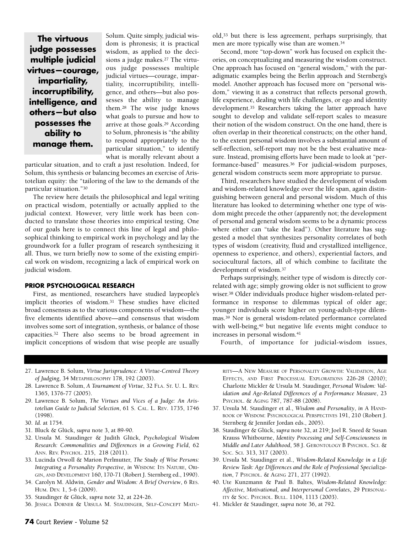**The virtuous judge possesses multiple judicial virtues—courage, impartiality, incorruptibility, intelligence, and others—but also possesses the ability to manage them.**

Solum. Quite simply, judicial wisdom is phronesis; it is practical wisdom, as applied to the decisions a judge makes.27 The virtuous judge possesses multiple judicial virtues—courage, impartiality, incorruptibility, intelligence, and others—but also possesses the ability to manage them.28 The wise judge knows what goals to pursue and how to arrive at those goals.29 According to Solum, phronesis is "the ability to respond appropriately to the particular situation," to identify what is morally relevant about a

particular situation, and to craft a just resolution. Indeed, for Solum, this synthesis or balancing becomes an exercise of Aristotelian equity: the "tailoring of the law to the demands of the particular situation."30

The review here details the philosophical and legal writing on practical wisdom, potentially or actually applied to the judicial context. However, very little work has been conducted to translate those theories into empirical testing. One of our goals here is to connect this line of legal and philosophical thinking to empirical work in psychology and lay the groundwork for a fuller program of research synthesizing it all. Thus, we turn briefly now to some of the existing empirical work on wisdom, recognizing a lack of empirical work on judicial wisdom.

#### **PRIOR PSYCHOLOGICAL RESEARCH**

First, as mentioned, researchers have studied laypeople's implicit theories of wisdom.31 These studies have elicited broad consensus as to the various components of wisdom—the five elements identified above—and consensus that wisdom involves some sort of integration, synthesis, or balance of those capacities.32 There also seems to be broad agreement in implicit conceptions of wisdom that wise people are usually old,33 but there is less agreement, perhaps surprisingly, that men are more typically wise than are women.34

Second, more "top-down" work has focused on explicit theories, on conceptualizing and measuring the wisdom construct. One approach has focused on "general wisdom," with the paradigmatic examples being the Berlin approach and Sternberg's model. Another approach has focused more on "personal wisdom," viewing it as a construct that reflects personal growth, life experience, dealing with life challenges, or ego and identity development.35 Researchers taking the latter approach have sought to develop and validate self-report scales to measure their notion of the wisdom construct. On the one hand, there is often overlap in their theoretical constructs; on the other hand, to the extent personal wisdom involves a substantial amount of self-reflection, self-report may not be the best evaluative measure. Instead, promising efforts have been made to look at "performance-based" measures.36 For judicial-wisdom purposes, general wisdom constructs seem more appropriate to pursue.

Third, researchers have studied the development of wisdom and wisdom-related knowledge over the life span, again distinguishing between general and personal wisdom. Much of this literature has looked to determining whether one type of wisdom might precede the other (apparently not; the development of personal and general wisdom seems to be a dynamic process where either can "take the lead"). Other literature has suggested a model that synthesizes personality correlates of both types of wisdom (creativity, fluid and crystallized intelligence, openness to experience, and others), experiential factors, and sociocultural factors, all of which combine to facilitate the development of wisdom.37

Perhaps surprisingly, neither type of wisdom is directly correlated with age; simply growing older is not sufficient to grow wiser.38 Older individuals produce higher wisdom-related performance in response to dilemmas typical of older age; younger individuals score higher on young-adult-type dilemmas.39 Nor is general wisdom-related performance correlated with well-being,<sup>40</sup> but negative life events might conduce to increases in personal wisdom.41

Fourth, of importance for judicial-wisdom issues,

- 27. Lawrence B. Solum, *Virtue Jurisprudence: A Virtue-Centred Theory of Judging*, 34 METAPHILOSOPHY 178, 192 (2003).
- 28. Lawrence B. Solum, *A Tournament of Virtue*, 32 FLA. ST. U. L. REV. 1365, 1376-77 (2005).
- 29. Lawrence B. Solum, *The Virtues and Vices of a Judge: An Aristotelian Guide to Judicial Selection*, 61 S. CAL. L. REV. 1735, 1746 (1998).
- 30. *Id.* at 1754.
- 31. Bluck & Glück, *supra* note 3, at 89-90.
- 32. Ursula M. Staudinger & Judith Glück, *Psychological Wisdom Research: Commonalities and Differences in a Growing Field*, 62 ANN. REV. PSYCHOL. 215, 218 (2011).
- 33. Lucinda Orwoll & Marion Perlmutter, *The Study of Wise Persons: Integrating a Personality Perspective*, *in* WISDOM: ITS NATURE, ORI-GIN, AND DEVELOPMENT 160, 170-71 (Robert J. Sternberg ed., 1990).
- 34. Carolyn M. Aldwin, *Gender and Wisdom: A Brief Overview*, 6 RES. HUM. DEV. 1, 5-6 (2009).
- 35. Staudinger & Glück, *supra* note 32, at 224-26.
- 36. JESSICA DORNER & URSULA M. STAUDINGER, SELF-CONCEPT MATU-

RITY—A NEW MEASURE OF PERSONALITY GROWTH: VALIDATION, AGE EFFECTS, AND FIRST PROCESSUAL EXPLORATIONS 226-28 (2010); Charlotte Mickler & Ursula M. Staudinger, *Personal Wisdom: Validation and Age-Related Differences of a Performance Measure*, 23 PSYCHOL. & AGING 787, 787-88 (2008).

- 37. Ursula M. Staudinger et al., *Wisdom and Personality*, *in* A HAND-BOOK OF WISDOM: PSYCHOLOGICAL PERSPECTIVES 191, 210 (Robert J. Sternberg & Jennifer Jordan eds., 2005).
- 38. Staudinger & Glück, *supra* note 32, at 219; Joel R. Sneed & Susan Krauss Whitbourne, *Identity Processing and Self-Consciousness in Middle and Later Adulthood*, 58 J. GERONTOLOGY B PSYCHOL. SCI. & SOC. SCI. 313, 317 (2003).
- 39. Ursula M. Staudinger et al., *Wisdom-Related Knowledge in a Life Review Task: Age Differences and the Role of Professional Specialization*, 7 PSYCHOL. & AGING 271, 277 (1992).
- 40. Ute Kunzmann & Paul B. Baltes, *Wisdom-Related Knowledge: Affective, Motivational, and Interpersonal Correlates*, 29 PERSONAL-ITY & SOC. PSYCHOL. BULL. 1104, 1113 (2003).
- 41. Mickler & Staudinger, *supra* note 36, at 792.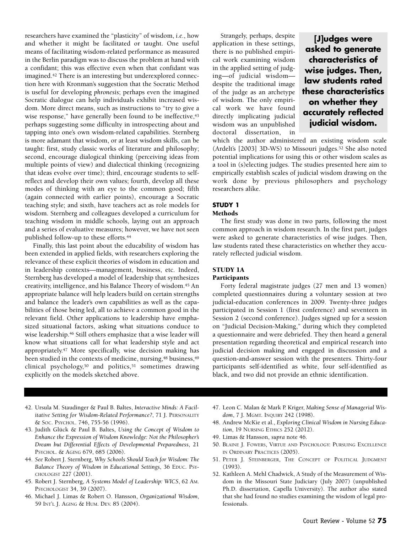researchers have examined the "plasticity" of wisdom, *i.e.*, how and whether it might be facilitated or taught. One useful means of facilitating wisdom-related performance as measured in the Berlin paradigm was to discuss the problem at hand with a confidant; this was effective even when that confidant was imagined.42 There is an interesting but underexplored connection here with Kronman's suggestion that the Socratic Method is useful for developing *phronesis*; perhaps even the imagined Socratic dialogue can help individuals exhibit increased wisdom. More direct means, such as instructions to "try to give a wise response," have generally been found to be ineffective,<sup>43</sup> perhaps suggesting some difficulty in introspecting about and tapping into one's own wisdom-related capabilities. Sternberg is more adamant that wisdom, or at least wisdom skills, can be taught: first, study classic works of literature and philosophy; second, encourage dialogical thinking (perceiving ideas from multiple points of view) and dialectical thinking (recognizing that ideas evolve over time); third, encourage students to selfreflect and develop their own values; fourth, develop all these modes of thinking with an eye to the common good; fifth (again connected with earlier points), encourage a Socratic teaching style; and sixth, have teachers act as role models for wisdom. Sternberg and colleagues developed a curriculum for teaching wisdom in middle schools, laying out an approach and a series of evaluative measures; however, we have not seen published follow-up to these efforts.44

Finally, this last point about the educability of wisdom has been extended in applied fields, with researchers exploring the relevance of these explicit theories of wisdom in education and in leadership contexts—management, business, etc. Indeed, Sternberg has developed a model of leadership that synthesizes creativity, intelligence, and his Balance Theory of wisdom.45 An appropriate balance will help leaders build on certain strengths and balance the leader's own capabilities as well as the capabilities of those being led, all to achieve a common good in the relevant field. Other applications to leadership have emphasized situational factors, asking what situations conduce to wise leadership.<sup>46</sup> Still others emphasize that a wise leader will know what situations call for what leadership style and act appropriately.47 More specifically, wise decision making has been studied in the contexts of medicine, nursing,<sup>48</sup> business,<sup>49</sup> clinical psychology,50 and politics,51 sometimes drawing explicitly on the models sketched above.

Strangely, perhaps, despite application in these settings, there is no published empirical work examining wisdom in the applied setting of judging—of judicial wisdom despite the traditional image of the judge as an archetype of wisdom. The only empirical work we have found directly implicating judicial wisdom was an unpublished doctoral dissertation, in

**[J]udges were asked to generate characteristics of wise judges. Then, law students rated these characteristics on whether they accurately reflected judicial wisdom.**

which the author administered an existing wisdom scale (Ardelt's [2003] 3D-WS) to Missouri judges.52 She also noted potential implications for using this or other wisdom scales as a tool in (s)electing judges. The studies presented here aim to empirically establish scales of judicial wisdom drawing on the work done by previous philosophers and psychology researchers alike.

#### **STUDY 1**

#### **Methods**

The first study was done in two parts, following the most common approach in wisdom research. In the first part, judges were asked to generate characteristics of wise judges. Then, law students rated these characteristics on whether they accurately reflected judicial wisdom.

#### **STUDY 1A**

#### **Participants**

Forty federal magistrate judges (27 men and 13 women) completed questionnaires during a voluntary session at two judicial-education conferences in 2009. Twenty-three judges participated in Session 1 (first conference) and seventeen in Session 2 (second conference). Judges signed up for a session on "Judicial Decision-Making," during which they completed a questionnaire and were debriefed. They then heard a general presentation regarding theoretical and empirical research into judicial decision making and engaged in discussion and a question-and-answer session with the presenters. Thirty-four participants self-identified as white, four self-identified as black, and two did not provide an ethnic identification.

- 42. Ursula M. Staudinger & Paul B. Baltes, *Interactive Minds: A Facilitative Setting for Wisdom-Related Performance?*, 71 J. PERSONALITY & Soc. PSYCHOL. 746, 755-56 (1996).
- 43. Judith Glück & Paul B. Baltes, *Using the Concept of Wisdom to Enhance the Expression of Wisdom Knowledge: Not the Philosopher's Dream but Differential Effects of Developmental Preparedness*, 21 PSYCHOL. & AGING 679, 685 (2006).
- 44. *See* Robert J. Sternberg, *Why Schools Should Teach for Wisdom: The Balance Theory of Wisdom in Educational Settings*, 36 EDUC. PSY-CHOLOGIST 227 (2001).
- 45. Robert J. Sternberg, *A Systems Model of Leadership: WICS*, 62 AM. PSYCHOLOGIST 34, 39 (2007).
- 46. Michael J. Limas & Robert O. Hansson, *Organizational Wisdom*, 59 INT'L J. AGING & HUM. DEV. 85 (2004).
- 47. Leon C. Malan & Mark P. Kriger, *Making Sense of Managerial Wisdom*, 7 J. MGMT. INQUIRY 242 (1998).
- 48. Andrew McKie et al., *Exploring Clinical Wisdom in Nursing Education*, 19 NURSING ETHICS 252 (2012).
- 49. Limas & Hansson, *supra* note 46.
- 50. BLAINE J. FOWERS, VIRTUE AND PSYCHOLOGY: PURSUING EXCELLENCE IN ORDINARY PRACTICES (2005).
- 51. PETER J. STEINBERGER, THE CONCEPT OF POLITICAL JUDGMENT (1993).
- 52. Kathleen A. Mehl Chadwick, A Study of the Measurement of Wisdom in the Missouri State Judiciary (July 2007) (unpublished Ph.D. dissertation, Capella University). The author also stated that she had found no studies examining the wisdom of legal professionals.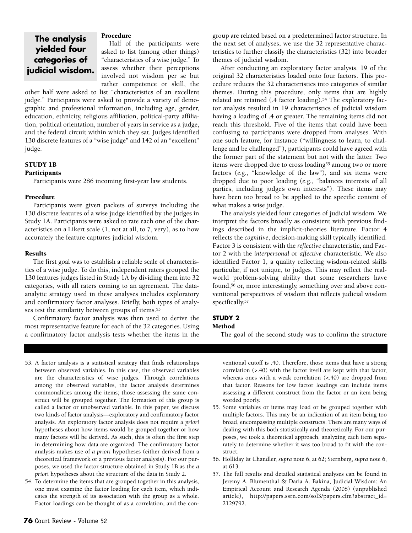### **The analysis yielded four categories of judicial wisdom.**

#### **Procedure**

Half of the participants were asked to list (among other things) "characteristics of a wise judge." To assess whether their perceptions involved not wisdom per se but rather competence or skill, the

other half were asked to list "characteristics of an excellent judge." Participants were asked to provide a variety of demographic and professional information, including age, gender, education, ethnicity, religious affiliation, political-party affiliation, political orientation, number of years in service as a judge, and the federal circuit within which they sat. Judges identified 130 discrete features of a "wise judge" and 142 of an "excellent" judge.

#### **STUDY 1B Participants**

Participants were 286 incoming first-year law students.

#### **Procedure**

Participants were given packets of surveys including the 130 discrete features of a wise judge identified by the judges in Study 1A. Participants were asked to rate each one of the characteristics on a Likert scale (1, not at all, to 7, very), as to how accurately the feature captures judicial wisdom.

#### **Results**

The first goal was to establish a reliable scale of characteristics of a wise judge. To do this, independent raters grouped the 130 features judges listed in Study 1A by dividing them into 32 categories, with all raters coming to an agreement. The dataanalytic strategy used in these analyses includes exploratory and confirmatory factor analyses. Briefly, both types of analyses test the similarity between groups of items.53

Confirmatory factor analysis was then used to derive the most representative feature for each of the 32 categories. Using a confirmatory factor analysis tests whether the items in the

53. A factor analysis is a statistical strategy that finds relationships between observed variables. In this case, the observed variables are the characteristics of wise judges. Through correlations among the observed variables, the factor analysis determines commonalities among the items; those assessing the same construct will be grouped together. The formation of this group is called a factor or unobserved variable. In this paper, we discuss two kinds of factor analysis—exploratory and confirmatory factor analysis. An exploratory factor analysis does not require *a priori* hypotheses about how items would be grouped together or how many factors will be derived. As such, this is often the first step in determining how data are organized. The confirmatory factor analysis makes use of *a priori* hypotheses (either derived from a theoretical framework or a previous factor analysis). For our purposes, we used the factor structure obtained in Study 1B as the *a priori* hypotheses about the structure of the data in Study 2.

54. To determine the items that are grouped together in this analysis, one must examine the factor loading for each item, which indicates the strength of its association with the group as a whole. Factor loadings can be thought of as a correlation, and the congroup are related based on a predetermined factor structure. In the next set of analyses, we use the 32 representative characteristics to further classify the characteristics (32) into broader themes of judicial wisdom.

After conducting an exploratory factor analysis, 19 of the original 32 characteristics loaded onto four factors. This procedure reduces the 32 characteristics into categories of similar themes. During this procedure, only items that are highly related are retained (.4 factor loading).<sup>54</sup> The exploratory factor analysis resulted in 19 characteristics of judicial wisdom having a loading of .4 or greater. The remaining items did not reach this threshold. Five of the items that could have been confusing to participants were dropped from analyses. With one such feature, for instance ("willingness to learn, to challenge and be challenged"), participants could have agreed with the former part of the statement but not with the latter. Two items were dropped due to cross loading<sup>55</sup> among two or more factors (*e.g*., "knowledge of the law"), and six items were dropped due to poor loading (*e.g*., "balances interests of all parties, including judge's own interests"). These items may have been too broad to be applied to the specific content of what makes a wise judge.

The analysis yielded four categories of judicial wisdom. We interpret the factors broadly as consistent with previous findings described in the implicit-theories literature. Factor 4 reflects the *cognitive*, decision-making skill typically identified. Factor 3 is consistent with the *reflective* characteristic, and Factor 2 with the *interpersonal* or *affective* characteristic. We also identified Factor 1, a quality reflecting wisdom-related skills particular, if not unique, to judges. This may reflect the realworld problem-solving ability that some researchers have found,56 or, more interestingly, something over and above conventional perspectives of wisdom that reflects judicial wisdom specifically.57

#### **STUDY 2**

#### **Method**

The goal of the second study was to confirm the structure

ventional cutoff is .40. Therefore, those items that have a strong correlation (>.40) with the factor itself are kept with that factor, whereas ones with a weak correlation (<.40) are dropped from that factor. Reasons for low factor loadings can include items assessing a different construct from the factor or an item being worded poorly.

- 55. Some variables or items may load or be grouped together with multiple factors. This may be an indication of an item being too broad, encompassing multiple constructs. There are many ways of dealing with this both statistically and theoretically. For our purposes, we took a theoretical approach, analyzing each item separately to determine whether it was too broad to fit with the construct.
- 56. Holliday & Chandler, *supra* note 6, at 62; Sternberg, *supra* note 6, at 613.
- 57. The full results and detailed statistical analyses can be found in Jeremy A. Blumenthal & Daria A. Bakina, Judicial Wisdom: An Empirical Account and Research Agenda (2008) (unpublished article), [http://papers.ssrn.com/sol3/papers.cfm?abstract\\_id=](http://papers.ssrn.com/sol3/papers.cfm?abstract_id=2129792) [2129792.](http://papers.ssrn.com/sol3/papers.cfm?abstract_id=2129792)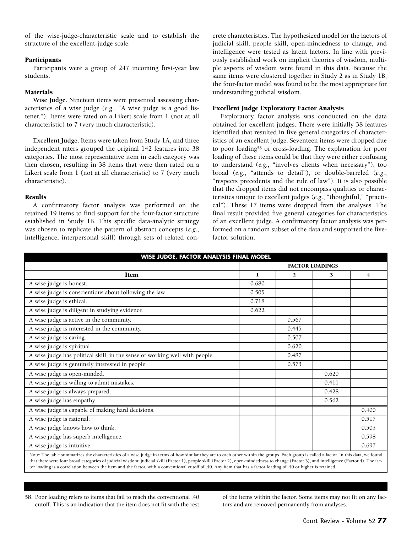of the wise-judge-characteristic scale and to establish the structure of the excellent-judge scale.

#### **Participants**

Participants were a group of 247 incoming first-year law students.

#### **Materials**

**Wise Judge.** Nineteen items were presented assessing characteristics of a wise judge (*e.g*., "A wise judge is a good listener."). Items were rated on a Likert scale from 1 (not at all characteristic) to 7 (very much characteristic).

**Excellent Judge.** Items were taken from Study 1A, and three independent raters grouped the original 142 features into 38 categories. The most representative item in each category was then chosen, resulting in 38 items that were then rated on a Likert scale from 1 (not at all characteristic) to 7 (very much characteristic).

#### **Results**

A confirmatory factor analysis was performed on the retained 19 items to find support for the four-factor structure established in Study 1B. This specific data-analytic strategy was chosen to replicate the pattern of abstract concepts (*e.g*., intelligence, interpersonal skill) through sets of related concrete characteristics. The hypothesized model for the factors of judicial skill, people skill, open-mindedness to change, and intelligence were tested as latent factors. In line with previously established work on implicit theories of wisdom, multiple aspects of wisdom were found in this data. Because the same items were clustered together in Study 2 as in Study 1B, the four-factor model was found to be the most appropriate for understanding judicial wisdom.

#### **Excellent Judge Exploratory Factor Analysis**

Exploratory factor analysis was conducted on the data obtained for excellent judges. There were initially 38 features identified that resulted in five general categories of characteristics of an excellent judge. Seventeen items were dropped due to poor loading58 or cross-loading. The explanation for poor loading of these items could be that they were either confusing to understand (*e.g*., "involves clients when necessary"), too broad (*e.g*., "attends to detail"), or double-barreled (*e.g*., "respects precedents and the rule of law"). It is also possible that the dropped items did not encompass qualities or characteristics unique to excellent judges (*e.g*., "thoughtful," "practical"). These 17 items were dropped from the analyses. The final result provided five general categories for characteristics of an excellent judge. A confirmatory factor analysis was performed on a random subset of the data and supported the fivefactor solution.

| WISE JUDGE, FACTOR ANALYSIS FINAL MODEL                                                                                                                                                |                        |              |       |                         |  |  |  |
|----------------------------------------------------------------------------------------------------------------------------------------------------------------------------------------|------------------------|--------------|-------|-------------------------|--|--|--|
| <b>Item</b>                                                                                                                                                                            | <b>FACTOR LOADINGS</b> |              |       |                         |  |  |  |
|                                                                                                                                                                                        | 1                      | $\mathbf{2}$ | 3     | $\overline{\mathbf{r}}$ |  |  |  |
| A wise judge is honest.                                                                                                                                                                | 0.680                  |              |       |                         |  |  |  |
| A wise judge is conscientious about following the law.                                                                                                                                 | 0.505                  |              |       |                         |  |  |  |
| A wise judge is ethical.                                                                                                                                                               | 0.718                  |              |       |                         |  |  |  |
| A wise judge is diligent in studying evidence.                                                                                                                                         | 0.622                  |              |       |                         |  |  |  |
| A wise judge is active in the community.                                                                                                                                               |                        | 0.567        |       |                         |  |  |  |
| A wise judge is interested in the community.                                                                                                                                           |                        | 0.445        |       |                         |  |  |  |
| A wise judge is caring.                                                                                                                                                                |                        | 0.507        |       |                         |  |  |  |
| A wise judge is spiritual.                                                                                                                                                             |                        | 0.620        |       |                         |  |  |  |
| A wise judge has political skill, in the sense of working well with people.                                                                                                            |                        | 0.487        |       |                         |  |  |  |
| A wise judge is genuinely interested in people.                                                                                                                                        |                        | 0.573        |       |                         |  |  |  |
| A wise judge is open-minded.                                                                                                                                                           |                        |              | 0.620 |                         |  |  |  |
| A wise judge is willing to admit mistakes.                                                                                                                                             |                        |              | 0.411 |                         |  |  |  |
| A wise judge is always prepared.                                                                                                                                                       |                        |              | 0.428 |                         |  |  |  |
| A wise judge has empathy.                                                                                                                                                              |                        |              | 0.562 |                         |  |  |  |
| A wise judge is capable of making hard decisions.                                                                                                                                      |                        |              |       | 0.400                   |  |  |  |
| A wise judge is rational.                                                                                                                                                              |                        |              |       | 0.517                   |  |  |  |
| A wise judge knows how to think.                                                                                                                                                       |                        |              |       | 0.505                   |  |  |  |
| A wise judge has superb intelligence.                                                                                                                                                  |                        |              |       | 0.598                   |  |  |  |
| A wise judge is intuitive.                                                                                                                                                             |                        |              |       | 0.697                   |  |  |  |
| Note: The table summarizes the characteristics of a wise judge in terms of how similar they are to each other within the groups. Each group is called a factor. In this data, we found |                        |              |       |                         |  |  |  |

that there were four broad categories of judicial wisdom: judicial skill (Factor 1), people skill (Factor 2), open-mindedness to change (Factor 3), and intelligence (Factor 4). The factor loading is a correlation between the item and the factor, with a conventional cutoff of .40. Any item that has a factor loading of .40 or higher is retained.

58. Poor loading refers to items that fail to reach the conventional .40 cutoff. This is an indication that the item does not fit with the rest of the items within the factor. Some items may not fit on any factors and are removed permanently from analyses.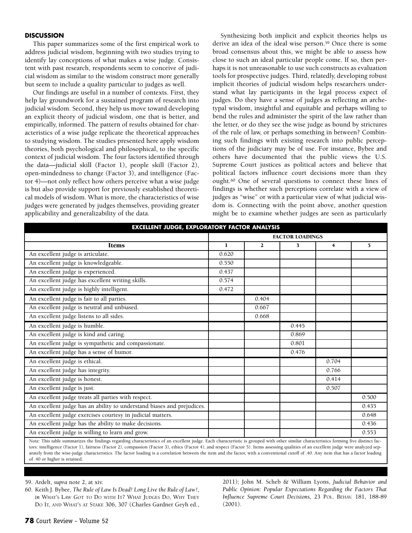#### **DISCUSSION**

This paper summarizes some of the first empirical work to address judicial wisdom, beginning with two studies trying to identify lay conceptions of what makes a wise judge. Consistent with past research, respondents seem to conceive of judicial wisdom as similar to the wisdom construct more generally but seem to include a quality particular to judges as well.

Our findings are useful in a number of contexts. First, they help lay groundwork for a sustained program of research into judicial wisdom. Second, they help us move toward developing an explicit theory of judicial wisdom, one that is better, and empirically, informed. The pattern of results obtained for characteristics of a wise judge replicate the theoretical approaches to studying wisdom. The studies presented here apply wisdom theories, both psychological and philosophical, to the specific context of judicial wisdom. The four factors identified through the data—judicial skill (Factor 1), people skill (Factor 2), open-mindedness to change (Factor 3), and intelligence (Factor 4)—not only reflect how others perceive what a wise judge is but also provide support for previously established theoretical models of wisdom. What is more, the characteristics of wise judges were generated by judges themselves, providing greater applicability and generalizability of the data.

Synthesizing both implicit and explicit theories helps us derive an idea of the ideal wise person.59 Once there is some broad consensus about this, we might be able to assess how close to such an ideal particular people come. If so, then perhaps it is not unreasonable to use such constructs as evaluation tools for prospective judges. Third, relatedly, developing robust implicit theories of judicial wisdom helps researchers understand what lay participants in the legal process expect of judges. Do they have a sense of judges as reflecting an archetypal wisdom, insightful and equitable and perhaps willing to bend the rules and administer the spirit of the law rather than the letter, or do they see the wise judge as bound by strictures of the rule of law, or perhaps something in between? Combining such findings with existing research into public perceptions of the judiciary may be of use. For instance, Bybee and others have documented that the public views the U.S. Supreme Court justices as political actors and believe that political factors influence court decisions more than they ought.60 One of several questions to connect these lines of findings is whether such perceptions correlate with a view of judges as "wise" or with a particular view of what judicial wisdom is. Connecting with the point above, another question might be to examine whether judges are seen as particularly

| <b>EXCELLENT JUDGE, EXPLORATORY FACTOR ANALYSIS</b>                                                                                                                                    |                        |              |       |                |       |  |  |
|----------------------------------------------------------------------------------------------------------------------------------------------------------------------------------------|------------------------|--------------|-------|----------------|-------|--|--|
|                                                                                                                                                                                        | <b>FACTOR LOADINGS</b> |              |       |                |       |  |  |
| <b>Items</b>                                                                                                                                                                           | 1                      | $\mathbf{2}$ | 3     | $\overline{4}$ | 5     |  |  |
| An excellent judge is articulate.                                                                                                                                                      | 0.620                  |              |       |                |       |  |  |
| An excellent judge is knowledgeable.                                                                                                                                                   | 0.550                  |              |       |                |       |  |  |
| An excellent judge is experienced.                                                                                                                                                     | 0.437                  |              |       |                |       |  |  |
| An excellent judge has excellent writing skills.                                                                                                                                       | 0.574                  |              |       |                |       |  |  |
| An excellent judge is highly intelligent.                                                                                                                                              | 0.472                  |              |       |                |       |  |  |
| An excellent judge is fair to all parties.                                                                                                                                             |                        | 0.404        |       |                |       |  |  |
| An excellent judge is neutral and unbiased.                                                                                                                                            |                        | 0.667        |       |                |       |  |  |
| An excellent judge listens to all sides.                                                                                                                                               |                        | 0.668        |       |                |       |  |  |
| An excellent judge is humble.                                                                                                                                                          |                        |              | 0.445 |                |       |  |  |
| An excellent judge is kind and caring.                                                                                                                                                 |                        |              | 0.869 |                |       |  |  |
| An excellent judge is sympathetic and compassionate.                                                                                                                                   |                        |              | 0.801 |                |       |  |  |
| An excellent judge has a sense of humor.                                                                                                                                               |                        |              | 0.476 |                |       |  |  |
| An excellent judge is ethical.                                                                                                                                                         |                        |              |       | 0.704          |       |  |  |
| An excellent judge has integrity.                                                                                                                                                      |                        |              |       | 0.766          |       |  |  |
| An excellent judge is honest.                                                                                                                                                          |                        |              |       | 0.414          |       |  |  |
| An excellent judge is just.                                                                                                                                                            |                        |              |       | 0.507          |       |  |  |
| An excellent judge treats all parties with respect.                                                                                                                                    |                        |              |       |                | 0.500 |  |  |
| An excellent judge has an ability to understand biases and prejudices.                                                                                                                 |                        |              |       |                | 0.435 |  |  |
| An excellent judge exercises courtesy in judicial matters.                                                                                                                             |                        |              |       |                | 0.648 |  |  |
| An excellent judge has the ability to make decisions.                                                                                                                                  |                        |              |       |                | 0.436 |  |  |
| An excellent judge is willing to learn and grow.                                                                                                                                       |                        |              |       |                | 0.553 |  |  |
| Note: This table summarizes the findings regarding characteristics of an excellent judge. Each characteristic is grouned with other similar characteristics forming five distinct fac- |                        |              |       |                |       |  |  |

Note: This table summarizes the findings regarding characteristics of an excellent judge. Each characteristic is grouped with other similar characteristics forming five distinct factors: intelligence (Factor 1), fairness (Factor 2), compassion (Factor 3), ethics (Factor 4), and respect (Factor 5). Items assessing qualities of an excellent judge were analyzed separately from the wise-judge characteristics. The factor loading is a correlation between the item and the factor, with a conventional cutoff of .40. Any item that has a factor loading of .40 or higher is retained.

59. Ardelt, *supra* note 2, at xiv.

60. Keith J. Bybee, *The Rule of Law Is Dead! Long Live the Rule of Law!*, *in* WHAT'S LAW GOT TO DO WITH IT? WHAT JUDGES DO, WHY THEY DO IT, AND WHAT'S AT STAKE 306, 307 (Charles Gardner Geyh ed., 2011); John M. Scheb & William Lyons, *Judicial Behavior and Public Opinion: Popular Expectations Regarding the Factors That Influence Supreme Court Decisions,* 23 POL. BEHAV. 181, 188-89 (2001).